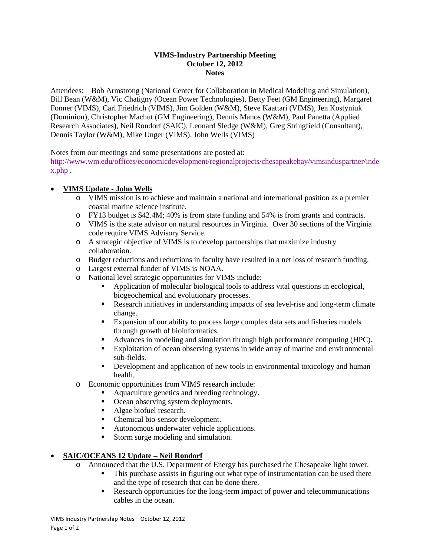#### **VIMS-Industry Partnership Meeting October 12, 2012 Notes**

Attendees: Bob Armstrong (National Center for Collaboration in Medical Modeling and Simulation), Bill Bean (W&M), Vic Chatigny (Ocean Power Technologies), Betty Feet (GM Engineering), Margaret Fonner (VIMS), Carl Friedrich (VIMS), Jim Golden (W&M), Steve Kaattari (VIMS), Jen Kostyniuk (Dominion), Christopher Machut (GM Engineering), Dennis Manos (W&M), Paul Panetta (Applied Research Associates), Neil Rondorf (SAIC), Leonard Sledge (W&M), Greg Stringfield (Consultant), Dennis Taylor (W&M), Mike Unger (VIMS), John Wells (VIMS)

Notes from our meetings and some presentations are posted at:

[http://www.wm.edu/offices/economicdevelopment/regionalprojects/chesapeakebay/vimsinduspartner/inde](http://www.wm.edu/offices/economicdevelopment/regionalprojects/chesapeakebay/vimsinduspartner/index.php) [x.php](http://www.wm.edu/offices/economicdevelopment/regionalprojects/chesapeakebay/vimsinduspartner/index.php) .

# • **VIMS Update - John Wells**

- o VIMS mission is to achieve and maintain a national and international position as a premier coastal marine science institute.
- o FY13 budget is \$42.4M; 40% is from state funding and 54% is from grants and contracts.
- o VIMS is the state advisor on natural resources in Virginia. Over 30 sections of the Virginia code require VIMS Advisory Service.
- o A strategic objective of VIMS is to develop partnerships that maximize industry collaboration.
- o Budget reductions and reductions in faculty have resulted in a net loss of research funding.
- o Largest external funder of VIMS is NOAA.
- o National level strategic opportunities for VIMS include:
	- Application of molecular biological tools to address vital questions in ecological, biogeochemical and evolutionary processes.
	- Research initiatives in understanding impacts of sea level-rise and long-term climate change.
	- **Expansion of our ability to process large complex data sets and fisheries models** through growth of bioinformatics.
	- Advances in modeling and simulation through high performance computing (HPC).
	- Exploitation of ocean observing systems in wide array of marine and environmental sub-fields.
	- Development and application of new tools in environmental toxicology and human health.
- o Economic opportunities from VIMS research include:
	- Aquaculture genetics and breeding technology.
	- Ocean observing system deployments.
	- Algae biofuel research.
	- Chemical bio-sensor development.
	- **Autonomous underwater vehicle applications.**
	- Storm surge modeling and simulation.

#### • **SAIC/OCEANS 12 Update – Neil Rondorf**

- Announced that the U.S. Department of Energy has purchased the Chesapeake light tower.<br>This purchase assists in figuring out what type of instrumentation can be used there
	- This purchase assists in figuring out what type of instrumentation can be used there and the type of research that can be done there.
	- **Research opportunities for the long-term impact of power and telecommunications** cables in the ocean.